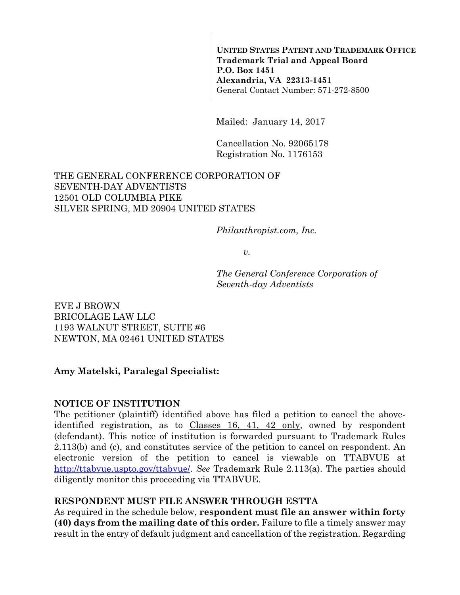**UNITED STATES PATENT AND TRADEMARK OFFICE Trademark Trial and Appeal Board P.O. Box 1451 Alexandria, VA 22313-1451**  General Contact Number: 571-272-8500

Mailed: January 14, 2017

Cancellation No. 92065178 Registration No. 1176153

#### THE GENERAL CONFERENCE CORPORATION OF SEVENTH-DAY ADVENTISTS 12501 OLD COLUMBIA PIKE SILVER SPRING, MD 20904 UNITED STATES

*Philanthropist.com, Inc.* 

 $v<sub>r</sub>$ 

*The General Conference Corporation of Seventh-day Adventists* 

EVE J BROWN BRICOLAGE LAW LLC 1193 WALNUT STREET, SUITE #6 NEWTON, MA 02461 UNITED STATES

### **Amy Matelski, Paralegal Specialist:**

#### **NOTICE OF INSTITUTION**

The petitioner (plaintiff) identified above has filed a petition to cancel the aboveidentified registration, as to Classes 16, 41, 42 only, owned by respondent (defendant). This notice of institution is forwarded pursuant to Trademark Rules 2.113(b) and (c), and constitutes service of the petition to cancel on respondent. An electronic version of the petition to cancel is viewable on TTABVUE at http://ttabvue.uspto.gov/ttabvue/. *See* Trademark Rule 2.113(a). The parties should diligently monitor this proceeding via TTABVUE.

### **RESPONDENT MUST FILE ANSWER THROUGH ESTTA**

As required in the schedule below, **respondent must file an answer within forty (40) days from the mailing date of this order.** Failure to file a timely answer may result in the entry of default judgment and cancellation of the registration. Regarding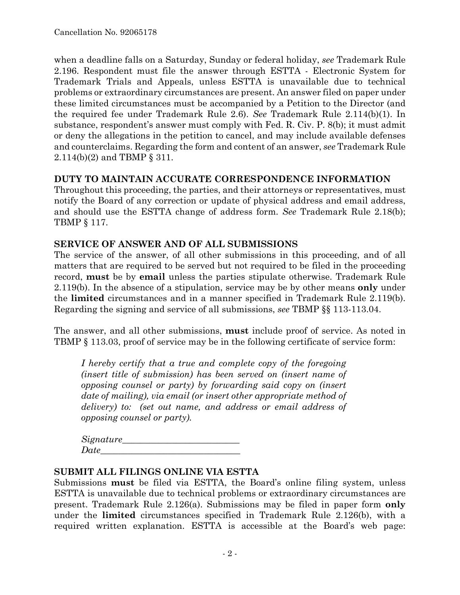when a deadline falls on a Saturday, Sunday or federal holiday, *see* Trademark Rule 2.196. Respondent must file the answer through ESTTA - Electronic System for Trademark Trials and Appeals, unless ESTTA is unavailable due to technical problems or extraordinary circumstances are present. An answer filed on paper under these limited circumstances must be accompanied by a Petition to the Director (and the required fee under Trademark Rule 2.6). *See* Trademark Rule 2.114(b)(1). In substance, respondent's answer must comply with Fed. R. Civ. P. 8(b); it must admit or deny the allegations in the petition to cancel, and may include available defenses and counterclaims. Regarding the form and content of an answer, *see* Trademark Rule 2.114(b)(2) and TBMP § 311.

### **DUTY TO MAINTAIN ACCURATE CORRESPONDENCE INFORMATION**

Throughout this proceeding, the parties, and their attorneys or representatives, must notify the Board of any correction or update of physical address and email address, and should use the ESTTA change of address form. *See* Trademark Rule 2.18(b); TBMP § 117.

### **SERVICE OF ANSWER AND OF ALL SUBMISSIONS**

The service of the answer, of all other submissions in this proceeding, and of all matters that are required to be served but not required to be filed in the proceeding record, **must** be by **email** unless the parties stipulate otherwise. Trademark Rule 2.119(b). In the absence of a stipulation, service may be by other means **only** under the **limited** circumstances and in a manner specified in Trademark Rule 2.119(b). Regarding the signing and service of all submissions, *see* TBMP §§ 113-113.04.

The answer, and all other submissions, **must** include proof of service. As noted in TBMP § 113.03, proof of service may be in the following certificate of service form:

*I hereby certify that a true and complete copy of the foregoing (insert title of submission) has been served on (insert name of opposing counsel or party) by forwarding said copy on (insert date of mailing), via email (or insert other appropriate method of delivery) to: (set out name, and address or email address of opposing counsel or party).* 

| Signature_ |  |  |
|------------|--|--|
| Date       |  |  |

### **SUBMIT ALL FILINGS ONLINE VIA ESTTA**

Submissions **must** be filed via ESTTA, the Board's online filing system, unless ESTTA is unavailable due to technical problems or extraordinary circumstances are present. Trademark Rule 2.126(a). Submissions may be filed in paper form **only** under the **limited** circumstances specified in Trademark Rule 2.126(b), with a required written explanation. ESTTA is accessible at the Board's web page: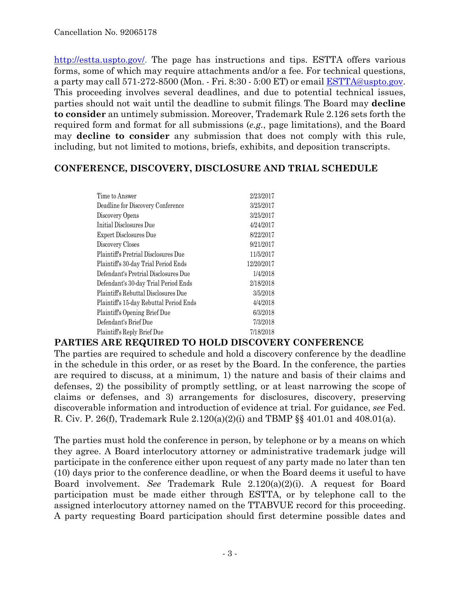http://estta.uspto.gov/. The page has instructions and tips. ESTTA offers various forms, some of which may require attachments and/or a fee. For technical questions, a party may call 571-272-8500 (Mon. - Fri. 8:30 - 5:00 ET) or email ESTTA@uspto.gov. This proceeding involves several deadlines, and due to potential technical issues, parties should not wait until the deadline to submit filings. The Board may **decline to consider** an untimely submission. Moreover, Trademark Rule 2.126 sets forth the required form and format for all submissions (*e.g.*, page limitations), and the Board may **decline to consider** any submission that does not comply with this rule, including, but not limited to motions, briefs, exhibits, and deposition transcripts.

### **CONFERENCE, DISCOVERY, DISCLOSURE AND TRIAL SCHEDULE**

| Time to Answer                          | 2/23/2017  |
|-----------------------------------------|------------|
| Deadline for Discovery Conference       | 3/25/2017  |
| Discovery Opens                         | 3/25/2017  |
| Initial Disclosures Due                 | 4/24/2017  |
| Expert Disclosures Due                  | 8/22/2017  |
| Discovery Closes                        | 9/21/2017  |
| Plaintiff's Pretrial Disclosures Due    | 11/5/2017  |
| Plaintiff's 30-day Trial Period Ends    | 12/20/2017 |
| Defendant's Pretrial Disclosures Due    | 1/4/2018   |
| Defendant's 30-day Trial Period Ends    | 2/18/2018  |
| Plaintiff's Rebuttal Disclosures Due    | 3/5/2018   |
| Plaintiff's 15-day Rebuttal Period Ends | 4/4/2018   |
| Plaintiff's Opening Brief Due           | 6/3/2018   |
| Defendant's Brief Due                   | 7/3/2018   |
| Plaintiff's Reply Brief Due             | 7/18/2018  |
|                                         |            |

### **PARTIES ARE REQUIRED TO HOLD DISCOVERY CONFERENCE**

The parties are required to schedule and hold a discovery conference by the deadline in the schedule in this order, or as reset by the Board. In the conference, the parties are required to discuss, at a minimum, 1) the nature and basis of their claims and defenses, 2) the possibility of promptly settling, or at least narrowing the scope of claims or defenses, and 3) arrangements for disclosures, discovery, preserving discoverable information and introduction of evidence at trial. For guidance, *see* Fed. R. Civ. P. 26(f), Trademark Rule 2.120(a)(2)(i) and TBMP  $\S$ § 401.01 and 408.01(a).

The parties must hold the conference in person, by telephone or by a means on which they agree. A Board interlocutory attorney or administrative trademark judge will participate in the conference either upon request of any party made no later than ten (10) days prior to the conference deadline, or when the Board deems it useful to have Board involvement. *See* Trademark Rule 2.120(a)(2)(i). A request for Board participation must be made either through ESTTA, or by telephone call to the assigned interlocutory attorney named on the TTABVUE record for this proceeding. A party requesting Board participation should first determine possible dates and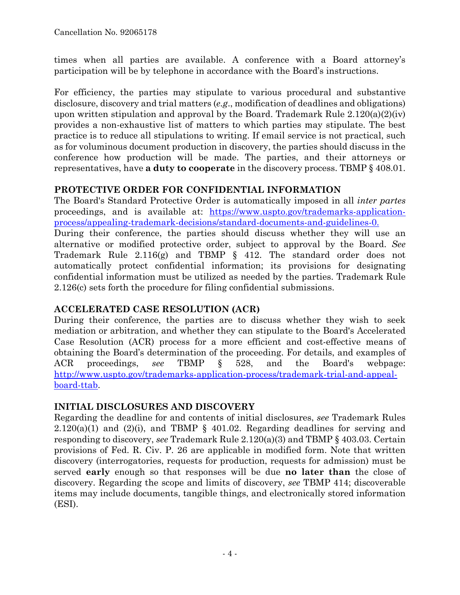times when all parties are available. A conference with a Board attorney's participation will be by telephone in accordance with the Board's instructions.

For efficiency, the parties may stipulate to various procedural and substantive disclosure, discovery and trial matters (*e.g*., modification of deadlines and obligations) upon written stipulation and approval by the Board. Trademark Rule  $2.120(a)(2)(iv)$ provides a non-exhaustive list of matters to which parties may stipulate. The best practice is to reduce all stipulations to writing. If email service is not practical, such as for voluminous document production in discovery, the parties should discuss in the conference how production will be made. The parties, and their attorneys or representatives, have **a duty to cooperate** in the discovery process. TBMP § 408.01.

## **PROTECTIVE ORDER FOR CONFIDENTIAL INFORMATION**

The Board's Standard Protective Order is automatically imposed in all *inter partes* proceedings, and is available at: https://www.uspto.gov/trademarks-applicationprocess/appealing-trademark-decisions/standard-documents-and-guidelines-0.

During their conference, the parties should discuss whether they will use an alternative or modified protective order, subject to approval by the Board. *See* Trademark Rule 2.116(g) and TBMP § 412. The standard order does not automatically protect confidential information; its provisions for designating confidential information must be utilized as needed by the parties. Trademark Rule 2.126(c) sets forth the procedure for filing confidential submissions.

# **ACCELERATED CASE RESOLUTION (ACR)**

During their conference, the parties are to discuss whether they wish to seek mediation or arbitration, and whether they can stipulate to the Board's Accelerated Case Resolution (ACR) process for a more efficient and cost-effective means of obtaining the Board's determination of the proceeding. For details, and examples of ACR proceedings, *see* TBMP § 528, and the Board's webpage: http://www.uspto.gov/trademarks-application-process/trademark-trial-and-appealboard-ttab.

### **INITIAL DISCLOSURES AND DISCOVERY**

Regarding the deadline for and contents of initial disclosures, *see* Trademark Rules  $2.120(a)(1)$  and  $(2)(i)$ , and TBMP § 401.02. Regarding deadlines for serving and responding to discovery, *see* Trademark Rule 2.120(a)(3) and TBMP § 403.03. Certain provisions of Fed. R. Civ. P. 26 are applicable in modified form. Note that written discovery (interrogatories, requests for production, requests for admission) must be served **early** enough so that responses will be due **no later than** the close of discovery. Regarding the scope and limits of discovery, *see* TBMP 414; discoverable items may include documents, tangible things, and electronically stored information (ESI).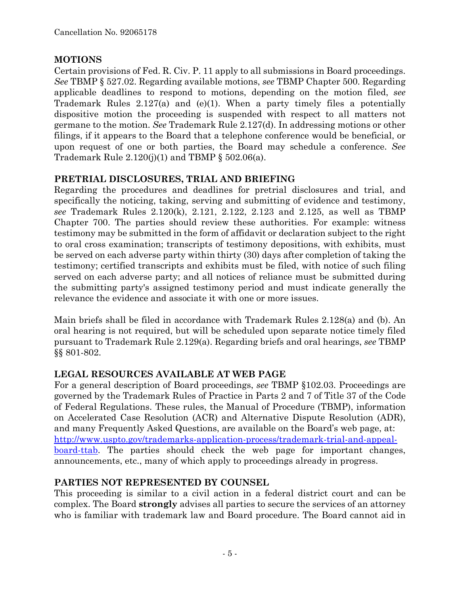## **MOTIONS**

Certain provisions of Fed. R. Civ. P. 11 apply to all submissions in Board proceedings. *See* TBMP § 527.02. Regarding available motions, *see* TBMP Chapter 500. Regarding applicable deadlines to respond to motions, depending on the motion filed, *see* Trademark Rules 2.127(a) and (e)(1). When a party timely files a potentially dispositive motion the proceeding is suspended with respect to all matters not germane to the motion. *See* Trademark Rule 2.127(d). In addressing motions or other filings, if it appears to the Board that a telephone conference would be beneficial, or upon request of one or both parties, the Board may schedule a conference. *See* Trademark Rule  $2.120(j)(1)$  and TBMP §  $502.06(a)$ .

## **PRETRIAL DISCLOSURES, TRIAL AND BRIEFING**

Regarding the procedures and deadlines for pretrial disclosures and trial, and specifically the noticing, taking, serving and submitting of evidence and testimony, *see* Trademark Rules 2.120(k), 2.121, 2.122, 2.123 and 2.125, as well as TBMP Chapter 700. The parties should review these authorities. For example: witness testimony may be submitted in the form of affidavit or declaration subject to the right to oral cross examination; transcripts of testimony depositions, with exhibits, must be served on each adverse party within thirty (30) days after completion of taking the testimony; certified transcripts and exhibits must be filed, with notice of such filing served on each adverse party; and all notices of reliance must be submitted during the submitting party's assigned testimony period and must indicate generally the relevance the evidence and associate it with one or more issues.

Main briefs shall be filed in accordance with Trademark Rules 2.128(a) and (b). An oral hearing is not required, but will be scheduled upon separate notice timely filed pursuant to Trademark Rule 2.129(a). Regarding briefs and oral hearings, *see* TBMP §§ 801-802.

# **LEGAL RESOURCES AVAILABLE AT WEB PAGE**

For a general description of Board proceedings, *see* TBMP §102.03. Proceedings are governed by the Trademark Rules of Practice in Parts 2 and 7 of Title 37 of the Code of Federal Regulations. These rules, the Manual of Procedure (TBMP), information on Accelerated Case Resolution (ACR) and Alternative Dispute Resolution (ADR), and many Frequently Asked Questions, are available on the Board's web page, at: http://www.uspto.gov/trademarks-application-process/trademark-trial-and-appealboard-ttab. The parties should check the web page for important changes, announcements, etc., many of which apply to proceedings already in progress.

# **PARTIES NOT REPRESENTED BY COUNSEL**

This proceeding is similar to a civil action in a federal district court and can be complex. The Board **strongly** advises all parties to secure the services of an attorney who is familiar with trademark law and Board procedure. The Board cannot aid in